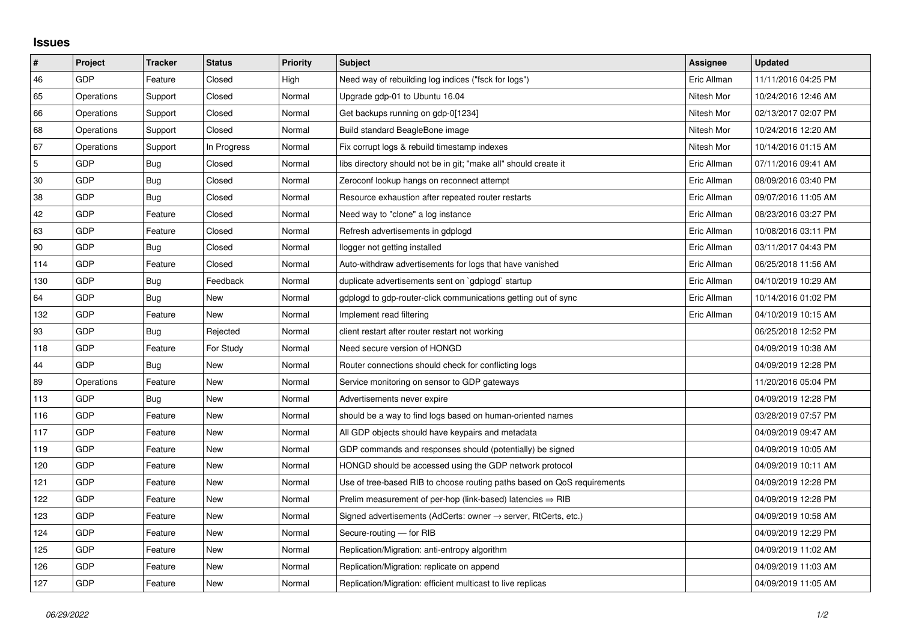## **Issues**

| $\vert$ #      | Project    | <b>Tracker</b> | <b>Status</b> | <b>Priority</b> | <b>Subject</b>                                                             | Assignee    | <b>Updated</b>      |
|----------------|------------|----------------|---------------|-----------------|----------------------------------------------------------------------------|-------------|---------------------|
| 46             | <b>GDP</b> | Feature        | Closed        | High            | Need way of rebuilding log indices ("fsck for logs")                       | Eric Allman | 11/11/2016 04:25 PM |
| 65             | Operations | Support        | Closed        | Normal          | Upgrade gdp-01 to Ubuntu 16.04                                             | Nitesh Mor  | 10/24/2016 12:46 AM |
| 66             | Operations | Support        | Closed        | Normal          | Get backups running on gdp-0[1234]                                         | Nitesh Mor  | 02/13/2017 02:07 PM |
| 68             | Operations | Support        | Closed        | Normal          | Build standard BeagleBone image                                            | Nitesh Mor  | 10/24/2016 12:20 AM |
| 67             | Operations | Support        | In Progress   | Normal          | Fix corrupt logs & rebuild timestamp indexes                               | Nitesh Mor  | 10/14/2016 01:15 AM |
| $\overline{5}$ | GDP        | <b>Bug</b>     | Closed        | Normal          | libs directory should not be in git; "make all" should create it           | Eric Allman | 07/11/2016 09:41 AM |
| 30             | <b>GDP</b> | Bug            | Closed        | Normal          | Zeroconf lookup hangs on reconnect attempt                                 | Eric Allman | 08/09/2016 03:40 PM |
| 38             | GDP        | Bug            | Closed        | Normal          | Resource exhaustion after repeated router restarts                         | Eric Allman | 09/07/2016 11:05 AM |
| 42             | <b>GDP</b> | Feature        | Closed        | Normal          | Need way to "clone" a log instance                                         | Eric Allman | 08/23/2016 03:27 PM |
| 63             | <b>GDP</b> | Feature        | Closed        | Normal          | Refresh advertisements in gdplogd                                          | Eric Allman | 10/08/2016 03:11 PM |
| 90             | GDP        | Bug            | Closed        | Normal          | llogger not getting installed                                              | Eric Allman | 03/11/2017 04:43 PM |
| 114            | <b>GDP</b> | Feature        | Closed        | Normal          | Auto-withdraw advertisements for logs that have vanished                   | Eric Allman | 06/25/2018 11:56 AM |
| 130            | <b>GDP</b> | Bug            | Feedback      | Normal          | duplicate advertisements sent on `gdplogd` startup                         | Eric Allman | 04/10/2019 10:29 AM |
| 64             | <b>GDP</b> | Bug            | <b>New</b>    | Normal          | gdplogd to gdp-router-click communications getting out of sync             | Eric Allman | 10/14/2016 01:02 PM |
| 132            | <b>GDP</b> | Feature        | New           | Normal          | Implement read filtering                                                   | Eric Allman | 04/10/2019 10:15 AM |
| 93             | <b>GDP</b> | Bug            | Rejected      | Normal          | client restart after router restart not working                            |             | 06/25/2018 12:52 PM |
| 118            | <b>GDP</b> | Feature        | For Study     | Normal          | Need secure version of HONGD                                               |             | 04/09/2019 10:38 AM |
| 44             | GDP        | Bug            | <b>New</b>    | Normal          | Router connections should check for conflicting logs                       |             | 04/09/2019 12:28 PM |
| 89             | Operations | Feature        | <b>New</b>    | Normal          | Service monitoring on sensor to GDP gateways                               |             | 11/20/2016 05:04 PM |
| 113            | GDP        | Bug            | New           | Normal          | Advertisements never expire                                                |             | 04/09/2019 12:28 PM |
| 116            | <b>GDP</b> | Feature        | New           | Normal          | should be a way to find logs based on human-oriented names                 |             | 03/28/2019 07:57 PM |
| 117            | <b>GDP</b> | Feature        | New           | Normal          | All GDP objects should have keypairs and metadata                          |             | 04/09/2019 09:47 AM |
| 119            | <b>GDP</b> | Feature        | New           | Normal          | GDP commands and responses should (potentially) be signed                  |             | 04/09/2019 10:05 AM |
| 120            | GDP        | Feature        | New           | Normal          | HONGD should be accessed using the GDP network protocol                    |             | 04/09/2019 10:11 AM |
| 121            | <b>GDP</b> | Feature        | <b>New</b>    | Normal          | Use of tree-based RIB to choose routing paths based on QoS requirements    |             | 04/09/2019 12:28 PM |
| 122            | <b>GDP</b> | Feature        | New           | Normal          | Prelim measurement of per-hop (link-based) latencies $\Rightarrow$ RIB     |             | 04/09/2019 12:28 PM |
| 123            | <b>GDP</b> | Feature        | New           | Normal          | Signed advertisements (AdCerts: owner $\rightarrow$ server, RtCerts, etc.) |             | 04/09/2019 10:58 AM |
| 124            | GDP        | Feature        | New           | Normal          | Secure-routing - for RIB                                                   |             | 04/09/2019 12:29 PM |
| 125            | GDP        | Feature        | New           | Normal          | Replication/Migration: anti-entropy algorithm                              |             | 04/09/2019 11:02 AM |
| 126            | GDP        | Feature        | New           | Normal          | Replication/Migration: replicate on append                                 |             | 04/09/2019 11:03 AM |
| 127            | GDP        | Feature        | <b>New</b>    | Normal          | Replication/Migration: efficient multicast to live replicas                |             | 04/09/2019 11:05 AM |